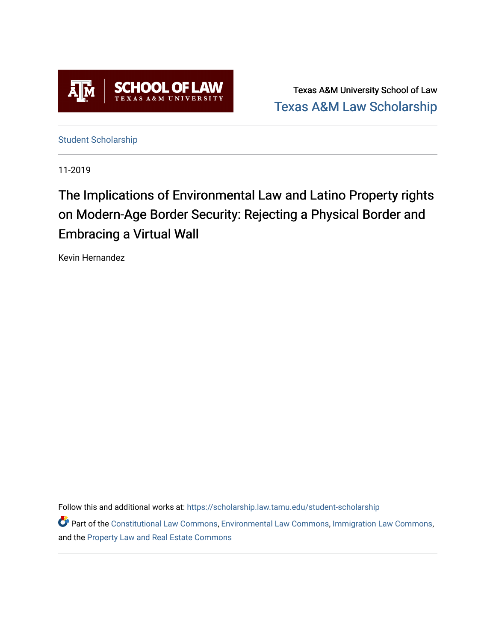

Texas A&M University School of Law [Texas A&M Law Scholarship](https://scholarship.law.tamu.edu/) 

[Student Scholarship](https://scholarship.law.tamu.edu/student-scholarship)

11-2019

# The Implications of Environmental Law and Latino Property rights on Modern-Age Border Security: Rejecting a Physical Border and Embracing a Virtual Wall

Kevin Hernandez

Follow this and additional works at: [https://scholarship.law.tamu.edu/student-scholarship](https://scholarship.law.tamu.edu/student-scholarship?utm_source=scholarship.law.tamu.edu%2Fstudent-scholarship%2F16&utm_medium=PDF&utm_campaign=PDFCoverPages) 

Part of the [Constitutional Law Commons,](https://network.bepress.com/hgg/discipline/589?utm_source=scholarship.law.tamu.edu%2Fstudent-scholarship%2F16&utm_medium=PDF&utm_campaign=PDFCoverPages) [Environmental Law Commons](https://network.bepress.com/hgg/discipline/599?utm_source=scholarship.law.tamu.edu%2Fstudent-scholarship%2F16&utm_medium=PDF&utm_campaign=PDFCoverPages), [Immigration Law Commons,](https://network.bepress.com/hgg/discipline/604?utm_source=scholarship.law.tamu.edu%2Fstudent-scholarship%2F16&utm_medium=PDF&utm_campaign=PDFCoverPages) and the [Property Law and Real Estate Commons](https://network.bepress.com/hgg/discipline/897?utm_source=scholarship.law.tamu.edu%2Fstudent-scholarship%2F16&utm_medium=PDF&utm_campaign=PDFCoverPages)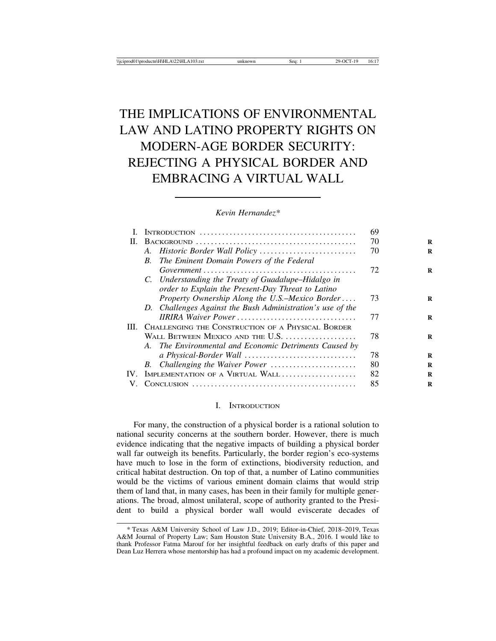# THE IMPLICATIONS OF ENVIRONMENTAL LAW AND LATINO PROPERTY RIGHTS ON MODERN-AGE BORDER SECURITY: REJECTING A PHYSICAL BORDER AND EMBRACING A VIRTUAL WALL

*Kevin Hernandez\**

|     |                                                                                                                                                                                                                                                                                                   | 69 |
|-----|---------------------------------------------------------------------------------------------------------------------------------------------------------------------------------------------------------------------------------------------------------------------------------------------------|----|
| Н.  |                                                                                                                                                                                                                                                                                                   | 70 |
|     | A. Historic Border Wall Policy                                                                                                                                                                                                                                                                    | 70 |
|     | The Eminent Domain Powers of the Federal<br>B.                                                                                                                                                                                                                                                    |    |
|     | $Government \dots \dots \dots \dots \dots \dots \dots \dots \dots \dots \dots \dots \dots \dots \dots$                                                                                                                                                                                            | 72 |
|     | C. Understanding the Treaty of Guadalupe–Hidalgo in                                                                                                                                                                                                                                               |    |
|     | order to Explain the Present-Day Threat to Latino                                                                                                                                                                                                                                                 |    |
|     | Property Ownership Along the U.S.–Mexico Border                                                                                                                                                                                                                                                   | 73 |
|     | D. Challenges Against the Bush Administration's use of the                                                                                                                                                                                                                                        |    |
|     | <b>IIRIRA Waiver Power </b>                                                                                                                                                                                                                                                                       | 77 |
|     | III. CHALLENGING THE CONSTRUCTION OF A PHYSICAL BORDER                                                                                                                                                                                                                                            |    |
|     | WALL BETWEEN MEXICO AND THE U.S.                                                                                                                                                                                                                                                                  | 78 |
|     | A. The Environmental and Economic Detriments Caused by                                                                                                                                                                                                                                            |    |
|     |                                                                                                                                                                                                                                                                                                   | 78 |
|     | B. Challenging the Waiver Power                                                                                                                                                                                                                                                                   | 80 |
| IV. | IMPLEMENTATION OF A VIRTUAL WALL                                                                                                                                                                                                                                                                  | 82 |
|     | $Conv$ and $\ldots$ and $\ldots$ and $\ldots$ and $\ldots$ and $\ldots$ and $\ldots$ and $\ldots$ and $\ldots$ and $\ldots$ and $\ldots$ and $\ldots$ and $\ldots$ and $\ldots$ and $\ldots$ and $\ldots$ and $\ldots$ and $\ldots$ and $\ldots$ and $\ldots$ and $\ldots$ and $\ldots$ and $\ld$ | 85 |
|     |                                                                                                                                                                                                                                                                                                   |    |

#### I. INTRODUCTION

For many, the construction of a physical border is a rational solution to national security concerns at the southern border. However, there is much evidence indicating that the negative impacts of building a physical border wall far outweigh its benefits. Particularly, the border region's eco-systems have much to lose in the form of extinctions, biodiversity reduction, and critical habitat destruction. On top of that, a number of Latino communities would be the victims of various eminent domain claims that would strip them of land that, in many cases, has been in their family for multiple generations. The broad, almost unilateral, scope of authority granted to the President to build a physical border wall would eviscerate decades of

<sup>\*</sup> Texas A&M University School of Law J.D., 2019; Editor-in-Chief, 2018–2019, Texas A&M Journal of Property Law; Sam Houston State University B.A., 2016. I would like to thank Professor Fatma Marouf for her insightful feedback on early drafts of this paper and Dean Luz Herrera whose mentorship has had a profound impact on my academic development.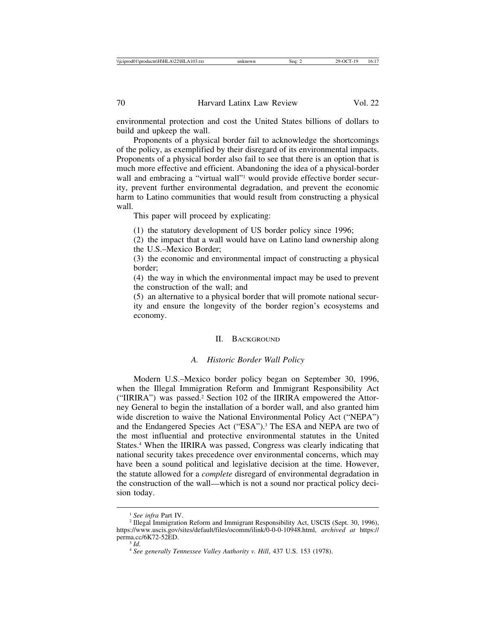environmental protection and cost the United States billions of dollars to build and upkeep the wall.

Proponents of a physical border fail to acknowledge the shortcomings of the policy, as exemplified by their disregard of its environmental impacts. Proponents of a physical border also fail to see that there is an option that is much more effective and efficient. Abandoning the idea of a physical-border wall and embracing a "virtual wall"<sup>1</sup> would provide effective border security, prevent further environmental degradation, and prevent the economic harm to Latino communities that would result from constructing a physical wall.

This paper will proceed by explicating:

(1) the statutory development of US border policy since 1996;

(2) the impact that a wall would have on Latino land ownership along the U.S.–Mexico Border;

(3) the economic and environmental impact of constructing a physical border;

(4) the way in which the environmental impact may be used to prevent the construction of the wall; and

(5) an alternative to a physical border that will promote national security and ensure the longevity of the border region's ecosystems and economy.

#### II. BACKGROUND

#### *A. Historic Border Wall Policy*

Modern U.S.–Mexico border policy began on September 30, 1996, when the Illegal Immigration Reform and Immigrant Responsibility Act ("IIRIRA") was passed.2 Section 102 of the IIRIRA empowered the Attorney General to begin the installation of a border wall, and also granted him wide discretion to waive the National Environmental Policy Act ("NEPA") and the Endangered Species Act ("ESA").3 The ESA and NEPA are two of the most influential and protective environmental statutes in the United States.4 When the IIRIRA was passed, Congress was clearly indicating that national security takes precedence over environmental concerns, which may have been a sound political and legislative decision at the time. However, the statute allowed for a *complete* disregard of environmental degradation in the construction of the wall—which is not a sound nor practical policy decision today.

<sup>&</sup>lt;sup>1</sup> See infra Part IV.<br><sup>2</sup> Illegal Immigration Reform and Immigrant Responsibility Act, USCIS (Sept. 30, 1996), https://www.uscis.gov/sites/default/files/ocomm/ilink/0-0-0-10948.html, *archived at* https:// perma.cc/6K72-52ED.<br><sup>3</sup> *Id.* 4 *See generally Tennessee Valley Authority v. Hill*, 437 U.S. 153 (1978).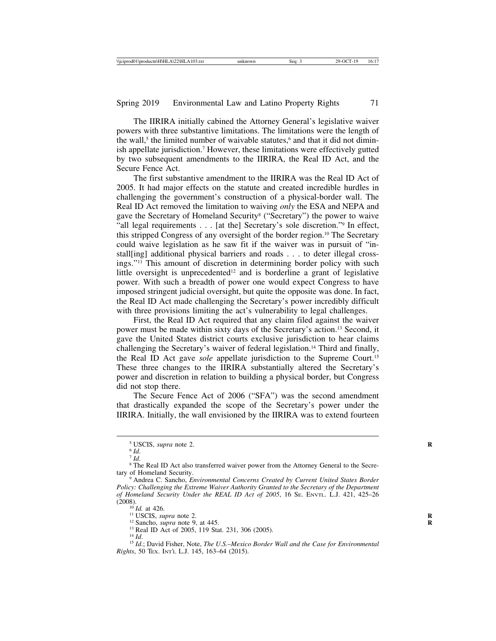The IIRIRA initially cabined the Attorney General's legislative waiver powers with three substantive limitations. The limitations were the length of the wall,<sup>5</sup> the limited number of waivable statutes,<sup>6</sup> and that it did not diminish appellate jurisdiction.7 However, these limitations were effectively gutted by two subsequent amendments to the IIRIRA, the Real ID Act, and the Secure Fence Act.

The first substantive amendment to the IIRIRA was the Real ID Act of 2005. It had major effects on the statute and created incredible hurdles in challenging the government's construction of a physical-border wall. The Real ID Act removed the limitation to waiving *only* the ESA and NEPA and gave the Secretary of Homeland Security8 ("Secretary") the power to waive "all legal requirements . . . [at the] Secretary's sole discretion."9 In effect, this stripped Congress of any oversight of the border region.10 The Secretary could waive legislation as he saw fit if the waiver was in pursuit of "install[ing] additional physical barriers and roads . . . to deter illegal crossings."11 This amount of discretion in determining border policy with such little oversight is unprecedented<sup>12</sup> and is borderline a grant of legislative power. With such a breadth of power one would expect Congress to have imposed stringent judicial oversight, but quite the opposite was done. In fact, the Real ID Act made challenging the Secretary's power incredibly difficult with three provisions limiting the act's vulnerability to legal challenges.

First, the Real ID Act required that any claim filed against the waiver power must be made within sixty days of the Secretary's action.13 Second, it gave the United States district courts exclusive jurisdiction to hear claims challenging the Secretary's waiver of federal legislation.14 Third and finally, the Real ID Act gave *sole* appellate jurisdiction to the Supreme Court.15 These three changes to the IIRIRA substantially altered the Secretary's power and discretion in relation to building a physical border, but Congress did not stop there.

The Secure Fence Act of 2006 ("SFA") was the second amendment that drastically expanded the scope of the Secretary's power under the IIRIRA. Initially, the wall envisioned by the IIRIRA was to extend fourteen

<sup>&</sup>lt;sup>5</sup> USCIS, *supra* note 2.<br>
<sup>6</sup> *Id*.<br>
<sup>7</sup> *Id*. <sup>8</sup> The Real ID Act also transferred waiver power from the Attorney General to the Secre-<br>
tary of Homeland Security.

<sup>&</sup>lt;sup>9</sup> Andrea C. Sancho, *Environmental Concerns Created by Current United States Border Policy: Challenging the Extreme Waiver Authority Granted to the Secretary of the Department of Homeland Security Under the REAL ID Act of 2005*, 16 SE. ENVTL. L.J. 421, 425–26 (2008).

<sup>&</sup>lt;sup>16</sup> *Id.* at 426.<br><sup>11</sup> USCIS, *supra* note 2.<br><sup>12</sup> Sancho, *supra* note 9, at 445.<br><sup>13</sup> Real ID Act of 2005, 119 Stat. 231, 306 (2005).<br><sup>14</sup> *Id.*<br><sup>15</sup> *Id.*; David Fisher, Note, *The U.S.–Mexico Border Wall and the Case Rights*, 50 TEX. INT'L L.J. 145, 163–64 (2015).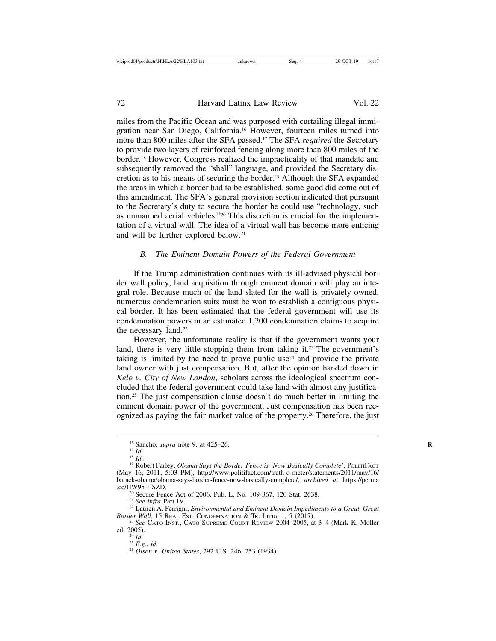miles from the Pacific Ocean and was purposed with curtailing illegal immigration near San Diego, California.16 However, fourteen miles turned into more than 800 miles after the SFA passed.17 The SFA *required* the Secretary to provide two layers of reinforced fencing along more than 800 miles of the border.18 However, Congress realized the impracticality of that mandate and subsequently removed the "shall" language, and provided the Secretary discretion as to his means of securing the border.19 Although the SFA expanded the areas in which a border had to be established, some good did come out of this amendment. The SFA's general provision section indicated that pursuant to the Secretary's duty to secure the border he could use "technology, such as unmanned aerial vehicles."20 This discretion is crucial for the implementation of a virtual wall. The idea of a virtual wall has become more enticing and will be further explored below.21

#### *B. The Eminent Domain Powers of the Federal Government*

If the Trump administration continues with its ill-advised physical border wall policy, land acquisition through eminent domain will play an integral role. Because much of the land slated for the wall is privately owned, numerous condemnation suits must be won to establish a contiguous physical border. It has been estimated that the federal government will use its condemnation powers in an estimated 1,200 condemnation claims to acquire the necessary land.<sup>22</sup>

However, the unfortunate reality is that if the government wants your land, there is very little stopping them from taking it.<sup>23</sup> The government's taking is limited by the need to prove public use<sup>24</sup> and provide the private land owner with just compensation. But, after the opinion handed down in *Kelo v. City of New London*, scholars across the ideological spectrum concluded that the federal government could take land with almost any justification.25 The just compensation clause doesn't do much better in limiting the eminent domain power of the government. Just compensation has been recognized as paying the fair market value of the property.26 Therefore, the just

<sup>&</sup>lt;sup>16</sup> Sancho, *supra* note 9, at 425–26.<br><sup>17</sup> *Id.* 18 *Id.* 18 *Id.* 18 *R* 18 *Id.* 18 *Id.* 18 *Id.* 19 Robert Fence is 'Now Basically Complete', POLITIFACT (May 16, 2011, 5:03 PM), http://www.politifact.com/truth-o-meter/statements/2011/may/16/ barack-obama/obama-says-border-fence-now-basically-complete/, *archived at* https://perma

<sup>&</sup>lt;sup>20</sup> Secure Fence Act of 2006, Pub. L. No. 109-367, 120 Stat. 2638.<br><sup>21</sup> *See infra* Part IV. <sup>22</sup> Lauren A. Ferrigni, *Environmental and Eminent Domain Impediments to a Great, Great*<br>*Border Wall*, 15 REAL EST. CONDEMNATI

<sup>&</sup>lt;sup>23</sup> See CATO INST., CATO SUPREME COURT REVIEW 2004–2005, at 3–4 (Mark K. Moller ed. 2005).

ed. 2005). <sup>24</sup> *Id*. <sup>25</sup> *E.g.*, *id*. <sup>26</sup> *Olson v. United States*, 292 U.S. 246, 253 (1934).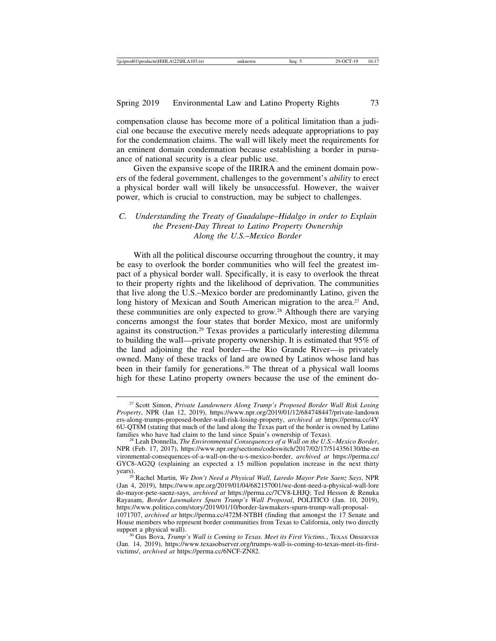compensation clause has become more of a political limitation than a judicial one because the executive merely needs adequate appropriations to pay for the condemnation claims. The wall will likely meet the requirements for an eminent domain condemnation because establishing a border in pursuance of national security is a clear public use.

Given the expansive scope of the IIRIRA and the eminent domain powers of the federal government, challenges to the government's *ability* to erect a physical border wall will likely be unsuccessful. However, the waiver power, which is crucial to construction, may be subject to challenges.

## *C. Understanding the Treaty of Guadalupe*–*Hidalgo in order to Explain the Present-Day Threat to Latino Property Ownership Along the U.S.*–*Mexico Border*

With all the political discourse occurring throughout the country, it may be easy to overlook the border communities who will feel the greatest impact of a physical border wall. Specifically, it is easy to overlook the threat to their property rights and the likelihood of deprivation. The communities that live along the U.S.–Mexico border are predominantly Latino, given the long history of Mexican and South American migration to the area.<sup>27</sup> And, these communities are only expected to grow.28 Although there are varying concerns amongst the four states that border Mexico, most are uniformly against its construction.29 Texas provides a particularly interesting dilemma to building the wall—private property ownership. It is estimated that 95% of the land adjoining the real border—the Rio Grande River—is privately owned. Many of these tracks of land are owned by Latinos whose land has been in their family for generations.30 The threat of a physical wall looms high for these Latino property owners because the use of the eminent do-

<sup>27</sup> Scott Simon, *Private Landowners Along Trump's Proposed Border Wall Risk Losing Property*, NPR (Jan 12, 2019), https://www.npr.org/2019/01/12/684748447/private-landown ers-along-trumps-proposed-border-wall-risk-losing-property, *archived at* https://perma.cc/4Y 6U-QT8M (stating that much of the land along the Texas part of the border is owned by Latino

families who have had claim to the land since Spain's ownership of Texas). <sup>28</sup> Leah Donnella, *The Environmental Consequences of a Wall on the U.S.*–*Mexico Border*, NPR (Feb. 17, 2017), https://www.npr.org/sections/codeswitch/2017/02/17/514356130/the-en vironmental-consequences-of-a-wall-on-the-u-s-mexico-border, *archived at* https://perma.cc/ GYC8-AG2Q (explaining an expected a 15 million population increase in the next thirty

years). <sup>29</sup> Rachel Martin, *We Don't Need a Physical Wall, Laredo Mayor Pete Saenz Says*, NPR (Jan 4, 2019), https://www.npr.org/2019/01/04/682157001/we-dont-need-a-physical-wall-lore do-mayor-pete-saenz-says, *archived at* https://perma.cc/7CV8-LHJQ; Ted Hesson & Renuka Rayasam, *Border Lawmakers Spurn Trump's Wall Proposal*, POLITICO (Jan. 10, 2019), https://www.politico.com/story/2019/01/10/border-lawmakers-spurn-trump-wall-proposal-

<sup>1071707,</sup> *archived at* https://perma.cc/472M-NTBH (finding that amongst the 17 Senate and House members who represent border communities from Texas to California, only two directly support a physical wall).<br><sup>30</sup> Gus Bova, *Trump's Wall is Coming to Texas. Meet its First Victims.*, TEXAS OBSERVER

<sup>(</sup>Jan. 14, 2019), https://www.texasobserver.org/trumps-wall-is-coming-to-texas-meet-its-firstvictims/, *archived at* https://perma.cc/6NCF-ZN82.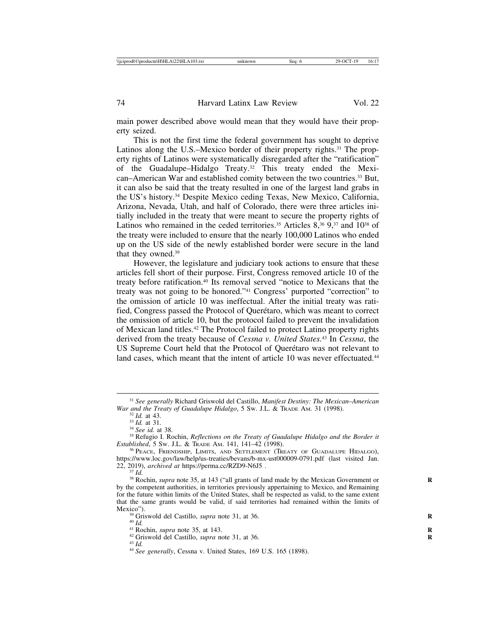main power described above would mean that they would have their property seized.

This is not the first time the federal government has sought to deprive Latinos along the U.S.–Mexico border of their property rights.<sup>31</sup> The property rights of Latinos were systematically disregarded after the "ratification" of the Guadalupe–Hidalgo Treaty.32 This treaty ended the Mexican–American War and established comity between the two countries.<sup>33</sup> But, it can also be said that the treaty resulted in one of the largest land grabs in the US's history.34 Despite Mexico ceding Texas, New Mexico, California, Arizona, Nevada, Utah, and half of Colorado, there were three articles initially included in the treaty that were meant to secure the property rights of Latinos who remained in the ceded territories.<sup>35</sup> Articles  $8,^{36}$ ,  $9,^{37}$  and  $10^{38}$  of the treaty were included to ensure that the nearly 100,000 Latinos who ended up on the US side of the newly established border were secure in the land that they owned.39

However, the legislature and judiciary took actions to ensure that these articles fell short of their purpose. First, Congress removed article 10 of the treaty before ratification.40 Its removal served "notice to Mexicans that the treaty was not going to be honored."41 Congress' purported "correction" to the omission of article 10 was ineffectual. After the initial treaty was ratified, Congress passed the Protocol of Querétaro, which was meant to correct the omission of article 10, but the protocol failed to prevent the invalidation of Mexican land titles.42 The Protocol failed to protect Latino property rights derived from the treaty because of *Cessna v. United States.*<sup>43</sup> In *Cessna*, the US Supreme Court held that the Protocol of Querétaro was not relevant to land cases, which meant that the intent of article 10 was never effectuated.<sup>44</sup>

<sup>31</sup> *See generally* Richard Griswold del Castillo, *Manifest Destiny: The Mexican*–*American*

<sup>&</sup>lt;sup>32</sup> Id. at 43.<br><sup>33</sup> Id. at 31.<br><sup>34</sup> See id. at 38.<br><sup>35</sup> Refugio I. Rochin, *Reflections on the Treaty of Guadalupe Hidalgo and the Border it*<br>*Established*, 5 Sw. J.L. & TraDE AM. 141, 141–42 (1998).

<sup>&</sup>lt;sup>36</sup> PEACE, FRIENDSHIP, LIMITS, AND SETTLEMENT (TREATY OF GUADALUPE HIDALGO), https://www.loc.gov/law/help/us-treaties/bevans/b-mx-ust000009-0791.pdf (last visited Jan. 22, 2019), *archived at https://perma.cc/RZD9-N6J5*.

<sup>&</sup>lt;sup>37</sup> *Id.* 38 Rochin, *supra* note 35, at 143 ("all grants of land made by the Mexican Government or by the competent authorities, in territories previously appertaining to Mexico, and Remaining for the future within limits of the United States, shall be respected as valid, to the same extent that the same grants would be valid, if said territories had remained within the limits of Mexico").<br><sup>39</sup> Griswold del Castillo, *supra* note 31, at 36.<br><sup>41</sup> Rochin, *supra* note 35, at 143.<br><sup>42</sup> Griswold del Castillo, *supra* note 31, at 36.<br><sup>43</sup> Id.<br><sup>44</sup> See generally, Cessna v. United States, 169 U.S. 165 (1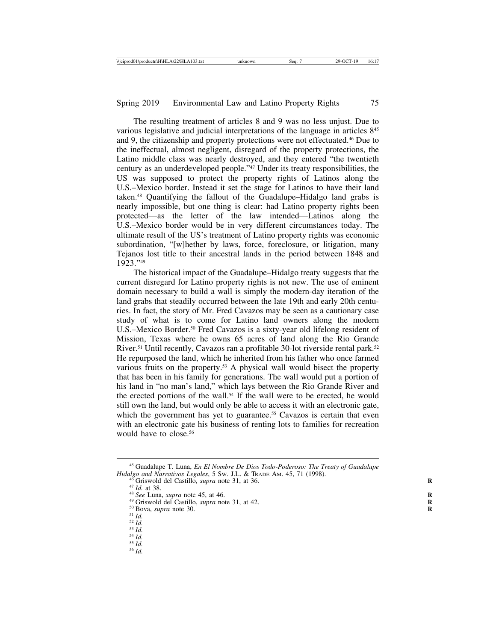The resulting treatment of articles 8 and 9 was no less unjust. Due to various legislative and judicial interpretations of the language in articles 845 and 9, the citizenship and property protections were not effectuated.46 Due to the ineffectual, almost negligent, disregard of the property protections, the Latino middle class was nearly destroyed, and they entered "the twentieth century as an underdeveloped people."47 Under its treaty responsibilities, the US was supposed to protect the property rights of Latinos along the U.S.–Mexico border. Instead it set the stage for Latinos to have their land taken.48 Quantifying the fallout of the Guadalupe–Hidalgo land grabs is nearly impossible, but one thing is clear: had Latino property rights been protected—as the letter of the law intended—Latinos along the U.S.–Mexico border would be in very different circumstances today. The ultimate result of the US's treatment of Latino property rights was economic subordination, "[w]hether by laws, force, foreclosure, or litigation, many Tejanos lost title to their ancestral lands in the period between 1848 and 1923."49

The historical impact of the Guadalupe–Hidalgo treaty suggests that the current disregard for Latino property rights is not new. The use of eminent domain necessary to build a wall is simply the modern-day iteration of the land grabs that steadily occurred between the late 19th and early 20th centuries. In fact, the story of Mr. Fred Cavazos may be seen as a cautionary case study of what is to come for Latino land owners along the modern U.S.–Mexico Border.<sup>50</sup> Fred Cavazos is a sixty-year old lifelong resident of Mission, Texas where he owns 65 acres of land along the Rio Grande River.51 Until recently, Cavazos ran a profitable 30-lot riverside rental park.52 He repurposed the land, which he inherited from his father who once farmed various fruits on the property.53 A physical wall would bisect the property that has been in his family for generations. The wall would put a portion of his land in "no man's land," which lays between the Rio Grande River and the erected portions of the wall.54 If the wall were to be erected, he would still own the land, but would only be able to access it with an electronic gate, which the government has yet to guarantee.<sup>55</sup> Cavazos is certain that even with an electronic gate his business of renting lots to families for recreation would have to close.<sup>56</sup>

- 
- 
- 
- 
- 
- 
- 

<sup>45</sup> Guadalupe T. Luna, *En El Nombre De Dios Todo-Poderoso: The Treaty of Guadalupe* Hidalgo and Narrativos Legales, 5 Sw. J.L. & Transe AM. 45, 71 (1998).<br>
<sup>46</sup> Griswold del Castillo, *supra* note 31, at 36.<br>
<sup>47</sup> *Id.* at 38.<br>
<sup>48</sup> See Luna, *supra* note 45, at 46.<br>
<sup>49</sup> Griswold del Castillo, *supra* n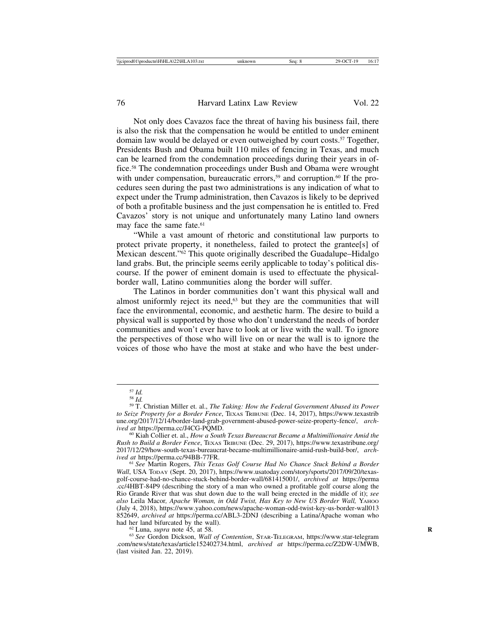Not only does Cavazos face the threat of having his business fail, there is also the risk that the compensation he would be entitled to under eminent domain law would be delayed or even outweighed by court costs.57 Together, Presidents Bush and Obama built 110 miles of fencing in Texas, and much can be learned from the condemnation proceedings during their years in office.58 The condemnation proceedings under Bush and Obama were wrought with under compensation, bureaucratic errors,<sup>59</sup> and corruption.<sup>60</sup> If the procedures seen during the past two administrations is any indication of what to expect under the Trump administration, then Cavazos is likely to be deprived of both a profitable business and the just compensation he is entitled to. Fred Cavazos' story is not unique and unfortunately many Latino land owners may face the same fate.<sup>61</sup>

"While a vast amount of rhetoric and constitutional law purports to protect private property, it nonetheless, failed to protect the grantee[s] of Mexican descent."62 This quote originally described the Guadalupe–Hidalgo land grabs. But, the principle seems eerily applicable to today's political discourse. If the power of eminent domain is used to effectuate the physicalborder wall, Latino communities along the border will suffer.

The Latinos in border communities don't want this physical wall and almost uniformly reject its need, $63$  but they are the communities that will face the environmental, economic, and aesthetic harm. The desire to build a physical wall is supported by those who don't understand the needs of border communities and won't ever have to look at or live with the wall. To ignore the perspectives of those who will live on or near the wall is to ignore the voices of those who have the most at stake and who have the best under-

had her land bifurcated by the wall). <sup>62</sup> Luna, *supra* note 45, at 58. **<sup>R</sup>** <sup>63</sup> *See* Gordon Dickson, *Wall of Contention*, STAR-TELEGRAM, https://www.star-telegram .com/news/state/texas/article152402734.html, *archived at* https://perma.cc/Z2DW-UMWB, (last visited Jan. 22, 2019).

<sup>57</sup> *Id.* <sup>58</sup> *Id.* <sup>59</sup> T. Christian Miller et. al., *The Taking: How the Federal Government Abused its Power to Seize Property for a Border Fence*, TEXAS TRIBUNE (Dec. 14, 2017), https://www.texastrib une.org/2017/12/14/border-land-grab-government-abused-power-seize-property-fence/, *arch-*

<sup>&</sup>lt;sup>60</sup> Kiah Collier et. al., *How a South Texas Bureaucrat Became a Multimillionaire Amid the Rush to Build a Border Fence*, TEXAS TRIBUNE (Dec. 29, 2017), https://www.texastribune.org/ 2017/12/29/how-south-texas-bureaucrat-became-multimillionaire-amid-rush-build-bor/, *archived at* https://perma.cc/94BB-77FR.<br><sup>61</sup> See Martin Rogers, *This Texas Golf Course Had No Chance Stuck Behind a Border* 

*Wall*, USA TODAY (Sept. 20, 2017), https://www.usatoday.com/story/sports/2017/09/20/texasgolf-course-had-no-chance-stuck-behind-border-wall/681415001/, *archived at* https://perma .cc/4HBT-84P9 (describing the story of a man who owned a profitable golf course along the Rio Grande River that was shut down due to the wall being erected in the middle of it); *see also* Leila Macor*, Apache Woman, in Odd Twist, Has Key to New US Border Wall,* YAHOO (July 4, 2018), https://www.yahoo.com/news/apache-woman-odd-twist-key-us-border-wall013 852649, *archived at https://perma.cc/ABL3-2DNJ* (describing a Latina/Apache woman who had her land bifurcated by the wall).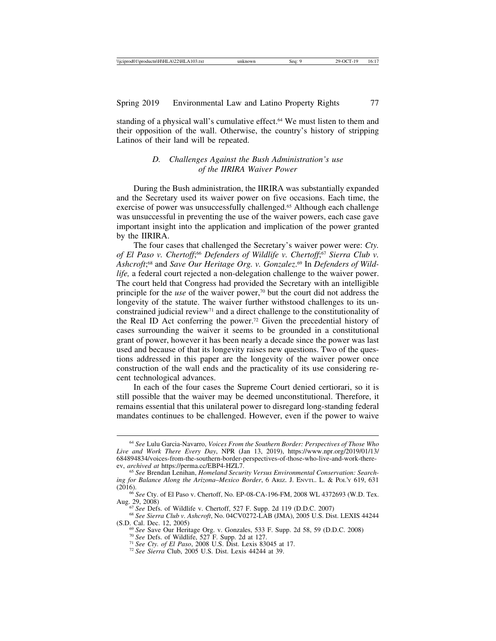standing of a physical wall's cumulative effect.64 We must listen to them and their opposition of the wall. Otherwise, the country's history of stripping Latinos of their land will be repeated.

#### *D. Challenges Against the Bush Administration's use of the IIRIRA Waiver Power*

During the Bush administration, the IIRIRA was substantially expanded and the Secretary used its waiver power on five occasions. Each time, the exercise of power was unsuccessfully challenged.<sup>65</sup> Although each challenge was unsuccessful in preventing the use of the waiver powers, each case gave important insight into the application and implication of the power granted by the IIRIRA.

The four cases that challenged the Secretary's waiver power were: *Cty. of El Paso v. Chertoff*; <sup>66</sup> *Defenders of Wildlife v. Chertoff*; <sup>67</sup> *Sierra Club v. Ashcroft*; 68 and *Save Our Heritage Org. v. Gonzalez*. 69 In *Defenders of Wildlife,* a federal court rejected a non-delegation challenge to the waiver power. The court held that Congress had provided the Secretary with an intelligible principle for the *use* of the waiver power,<sup>70</sup> but the court did not address the longevity of the statute. The waiver further withstood challenges to its unconstrained judicial review71 and a direct challenge to the constitutionality of the Real ID Act conferring the power.72 Given the precedential history of cases surrounding the waiver it seems to be grounded in a constitutional grant of power, however it has been nearly a decade since the power was last used and because of that its longevity raises new questions. Two of the questions addressed in this paper are the longevity of the waiver power once construction of the wall ends and the practicality of its use considering recent technological advances.

In each of the four cases the Supreme Court denied certiorari, so it is still possible that the waiver may be deemed unconstitutional. Therefore, it remains essential that this unilateral power to disregard long-standing federal mandates continues to be challenged. However, even if the power to waive

<sup>64</sup> *See* Lulu Garcia-Navarro, *Voices From the Southern Border: Perspectives of Those Who Live and Work There Every Day*, NPR (Jan 13, 2019), https://www.npr.org/2019/01/13/ 684894834/voices-from-the-southern-border-perspectives-of-those-who-live-and-work-there-<br>ev, archived at https://perma.cc/EBP4-HZL7.

<sup>&</sup>lt;sup>65</sup> See Brendan Lenihan, *Homeland Security Versus Environmental Conservation: Searching for Balance Along the Arizona*–*Mexico Border*, 6 ARIZ. J. ENVTL. L. & POL'Y 619, 631

<sup>(2016).&</sup>lt;br><sup>66</sup> *See* Cty. of El Paso v. Chertoff, No. EP-08-CA-196-FM, 2008 WL 4372693 (W.D. Tex.<br>Aug. 29, 2008)

<sup>&</sup>lt;sup>67</sup> See Defs. of Wildlife v. Chertoff, 527 F. Supp. 2d 119 (D.D.C. 2007)<br><sup>68</sup> See Sierra Club v. Ashcroft, No. 04CV0272-LAB (JMA), 2005 U.S. Dist. LEXIS 44244<br>(S.D. Cal. Dec. 12, 2005)

<sup>&</sup>lt;sup>69</sup> See Save Our Heritage Org. v. Gonzales, 533 F. Supp. 2d 58, 59 (D.D.C. 2008) <sup>70</sup> See Defs. of Wildlife, 527 F. Supp. 2d at 127.<br><sup>71</sup> See Cty. of El Paso, 2008 U.S. Dist. Lexis 83045 at 17.<br><sup>71</sup> See Cty. of El Paso,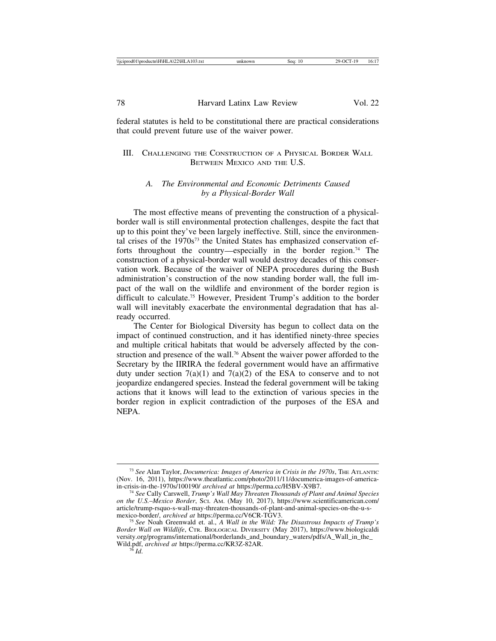federal statutes is held to be constitutional there are practical considerations that could prevent future use of the waiver power.

### III. CHALLENGING THE CONSTRUCTION OF A PHYSICAL BORDER WALL BETWEEN MEXICO AND THE U.S.

#### *A. The Environmental and Economic Detriments Caused by a Physical-Border Wall*

The most effective means of preventing the construction of a physicalborder wall is still environmental protection challenges, despite the fact that up to this point they've been largely ineffective. Still, since the environmental crises of the 1970s73 the United States has emphasized conservation efforts throughout the country—especially in the border region.<sup>74</sup> The construction of a physical-border wall would destroy decades of this conservation work. Because of the waiver of NEPA procedures during the Bush administration's construction of the now standing border wall, the full impact of the wall on the wildlife and environment of the border region is difficult to calculate.75 However, President Trump's addition to the border wall will inevitably exacerbate the environmental degradation that has already occurred.

The Center for Biological Diversity has begun to collect data on the impact of continued construction, and it has identified ninety-three species and multiple critical habitats that would be adversely affected by the construction and presence of the wall.76 Absent the waiver power afforded to the Secretary by the IIRIRA the federal government would have an affirmative duty under section  $7(a)(1)$  and  $7(a)(2)$  of the ESA to conserve and to not jeopardize endangered species. Instead the federal government will be taking actions that it knows will lead to the extinction of various species in the border region in explicit contradiction of the purposes of the ESA and NEPA.

<sup>73</sup> *See* Alan Taylor, *Documerica: Images of America in Crisis in the 1970s*, THE ATLANTIC (Nov. 16, 2011), https://www.theatlantic.com/photo/2011/11/documerica-images-of-america-<br>in-crisis-in-the-1970s/100190/ archived at https://perma.cc/H5BV-X9B7.

<sup>&</sup>lt;sup>74</sup> See Cally Carswell, *Trump's Wall May Threaten Thousands of Plant and Animal Species on the U.S.*–*Mexico Border*, SCI. AM. (May 10, 2017), https://www.scientificamerican.com/ article/trump-rsquo-s-wall-may-threaten-thousands-of-plant-and-animal-species-on-the-u-s-<br>mexico-border/, archived at https://perma.cc/V6CR-TGV3.

<sup>&</sup>lt;sup>75</sup> See Noah Greenwald et. al., *A Wall in the Wild: The Disastrous Impacts of Trump's Border Wall on Wildlife*, CTR. BIOLOGICAL DIVERSITY (May 2017), https://www.biologicaldi versity.org/programs/international/borderlands\_and\_boundary\_waters/pdfs/A\_Wall\_in\_the Wild.pdf, *archived at* https://perma.cc/KR3Z-82AR. <sup>76</sup> *Id*.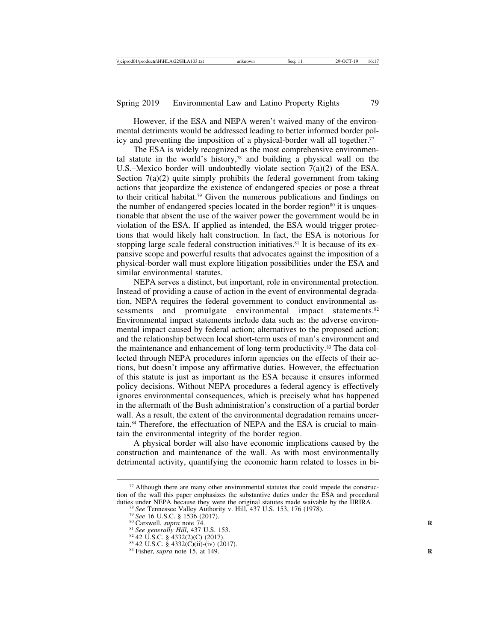However, if the ESA and NEPA weren't waived many of the environmental detriments would be addressed leading to better informed border policy and preventing the imposition of a physical-border wall all together.<sup>77</sup>

The ESA is widely recognized as the most comprehensive environmental statute in the world's history,78 and building a physical wall on the U.S.–Mexico border will undoubtedly violate section 7(a)(2) of the ESA. Section  $7(a)(2)$  quite simply prohibits the federal government from taking actions that jeopardize the existence of endangered species or pose a threat to their critical habitat.79 Given the numerous publications and findings on the number of endangered species located in the border region<sup>80</sup> it is unquestionable that absent the use of the waiver power the government would be in violation of the ESA. If applied as intended, the ESA would trigger protections that would likely halt construction. In fact, the ESA is notorious for stopping large scale federal construction initiatives.<sup>81</sup> It is because of its expansive scope and powerful results that advocates against the imposition of a physical-border wall must explore litigation possibilities under the ESA and similar environmental statutes.

NEPA serves a distinct, but important, role in environmental protection. Instead of providing a cause of action in the event of environmental degradation, NEPA requires the federal government to conduct environmental assessments and promulgate environmental impact statements.<sup>82</sup> Environmental impact statements include data such as: the adverse environmental impact caused by federal action; alternatives to the proposed action; and the relationship between local short-term uses of man's environment and the maintenance and enhancement of long-term productivity.<sup>83</sup> The data collected through NEPA procedures inform agencies on the effects of their actions, but doesn't impose any affirmative duties. However, the effectuation of this statute is just as important as the ESA because it ensures informed policy decisions. Without NEPA procedures a federal agency is effectively ignores environmental consequences, which is precisely what has happened in the aftermath of the Bush administration's construction of a partial border wall. As a result, the extent of the environmental degradation remains uncertain.84 Therefore, the effectuation of NEPA and the ESA is crucial to maintain the environmental integrity of the border region.

A physical border will also have economic implications caused by the construction and maintenance of the wall. As with most environmentally detrimental activity, quantifying the economic harm related to losses in bi-

 $77$  Although there are many other environmental statutes that could impede the construction of the wall this paper emphasizes the substantive duties under the ESA and procedural duties under NEPA because they were the original statutes made waivable by the IIRIRA.

<sup>&</sup>lt;sup>78</sup> See Tennessee Valley Authority v. Hill, 437 U.S. 153, 176 (1978).<br><sup>79</sup> See 16 U.S.C. § 1536 (2017).<br><sup>80</sup> Carswell, *supra* note 74.<br><sup>81</sup> See generally Hill, 437 U.S. 153.<br><sup>82</sup> 42 U.S.C. § 4332(2)((i)-(iv) (2017).<br><sup>82</sup>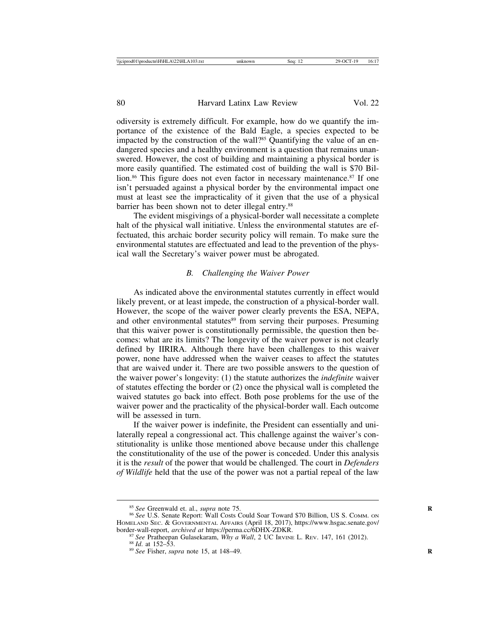odiversity is extremely difficult. For example, how do we quantify the importance of the existence of the Bald Eagle, a species expected to be impacted by the construction of the wall?85 Quantifying the value of an endangered species and a healthy environment is a question that remains unanswered. However, the cost of building and maintaining a physical border is more easily quantified. The estimated cost of building the wall is \$70 Billion.<sup>86</sup> This figure does not even factor in necessary maintenance.<sup>87</sup> If one isn't persuaded against a physical border by the environmental impact one must at least see the impracticality of it given that the use of a physical barrier has been shown not to deter illegal entry.<sup>88</sup>

The evident misgivings of a physical-border wall necessitate a complete halt of the physical wall initiative. Unless the environmental statutes are effectuated, this archaic border security policy will remain. To make sure the environmental statutes are effectuated and lead to the prevention of the physical wall the Secretary's waiver power must be abrogated.

#### *B. Challenging the Waiver Power*

As indicated above the environmental statutes currently in effect would likely prevent, or at least impede, the construction of a physical-border wall. However, the scope of the waiver power clearly prevents the ESA, NEPA, and other environmental statutes<sup>89</sup> from serving their purposes. Presuming that this waiver power is constitutionally permissible, the question then becomes: what are its limits? The longevity of the waiver power is not clearly defined by IIRIRA. Although there have been challenges to this waiver power, none have addressed when the waiver ceases to affect the statutes that are waived under it. There are two possible answers to the question of the waiver power's longevity: (1) the statute authorizes the *indefinite* waiver of statutes effecting the border or (2) once the physical wall is completed the waived statutes go back into effect. Both pose problems for the use of the waiver power and the practicality of the physical-border wall. Each outcome will be assessed in turn.

If the waiver power is indefinite, the President can essentially and unilaterally repeal a congressional act. This challenge against the waiver's constitutionality is unlike those mentioned above because under this challenge the constitutionality of the use of the power is conceded. Under this analysis it is the *result* of the power that would be challenged. The court in *Defenders of Wildlife* held that the use of the power was not a partial repeal of the law

<sup>&</sup>lt;sup>85</sup> See Greenwald et. al., *supra* note 75.<br><sup>86</sup> See U.S. Senate Report: Wall Costs Could Soar Toward \$70 Billion, US S. Comm. on HOMELAND SEC. & GOVERNMENTAL AFFAIRS (April 18, 2017), https://www.hsgac.senate.gov/<br>border-wall-report, *archived at https://perma.cc/6DHX-ZDKR*.

<sup>&</sup>lt;sup>87</sup> See Pratheepan Gulasekaram, *Why a Wall*, 2 UC IRVINE L. REV. 147, 161 (2012). <sup>88</sup> Id. at 152–53.<br><sup>89</sup> See Fisher, *supra* note 15, at 148–49.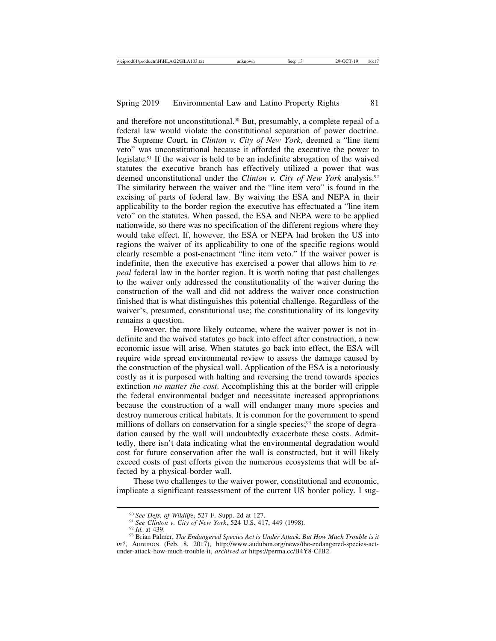and therefore not unconstitutional.<sup>90</sup> But, presumably, a complete repeal of a federal law would violate the constitutional separation of power doctrine. The Supreme Court, in *Clinton v. City of New York*, deemed a "line item veto" was unconstitutional because it afforded the executive the power to legislate.91 If the waiver is held to be an indefinite abrogation of the waived statutes the executive branch has effectively utilized a power that was deemed unconstitutional under the *Clinton v. City of New York* analysis.92 The similarity between the waiver and the "line item veto" is found in the excising of parts of federal law. By waiving the ESA and NEPA in their applicability to the border region the executive has effectuated a "line item veto" on the statutes. When passed, the ESA and NEPA were to be applied nationwide, so there was no specification of the different regions where they would take effect. If, however, the ESA or NEPA had broken the US into regions the waiver of its applicability to one of the specific regions would clearly resemble a post-enactment "line item veto." If the waiver power is indefinite, then the executive has exercised a power that allows him to *repeal* federal law in the border region. It is worth noting that past challenges to the waiver only addressed the constitutionality of the waiver during the construction of the wall and did not address the waiver once construction finished that is what distinguishes this potential challenge. Regardless of the waiver's, presumed, constitutional use; the constitutionality of its longevity remains a question.

However, the more likely outcome, where the waiver power is not indefinite and the waived statutes go back into effect after construction, a new economic issue will arise. When statutes go back into effect, the ESA will require wide spread environmental review to assess the damage caused by the construction of the physical wall. Application of the ESA is a notoriously costly as it is purposed with halting and reversing the trend towards species extinction *no matter the cost*. Accomplishing this at the border will cripple the federal environmental budget and necessitate increased appropriations because the construction of a wall will endanger many more species and destroy numerous critical habitats. It is common for the government to spend millions of dollars on conservation for a single species;<sup>93</sup> the scope of degradation caused by the wall will undoubtedly exacerbate these costs. Admittedly, there isn't data indicating what the environmental degradation would cost for future conservation after the wall is constructed, but it will likely exceed costs of past efforts given the numerous ecosystems that will be affected by a physical-border wall.

These two challenges to the waiver power, constitutional and economic, implicate a significant reassessment of the current US border policy. I sug-

<sup>&</sup>lt;sup>90</sup> See Defs. of Wildlife, 527 F. Supp. 2d at 127.<br><sup>91</sup> See Clinton v. City of New York, 524 U.S. 417, 449 (1998).<br><sup>92</sup> Id. at 439.<br><sup>93</sup> Brian Palmer, *The Endangered Species Act is Under Attack. But How Much Trouble is in?*, AUDUBON (Feb. 8, 2017), http://www.audubon.org/news/the-endangered-species-actunder-attack-how-much-trouble-it, *archived at* https://perma.cc/B4Y8-CJB2.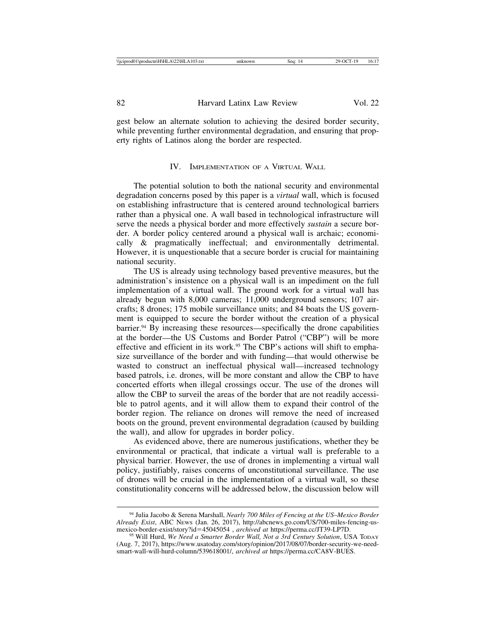gest below an alternate solution to achieving the desired border security, while preventing further environmental degradation, and ensuring that property rights of Latinos along the border are respected.

#### IV. IMPLEMENTATION OF A VIRTUAL WALL

The potential solution to both the national security and environmental degradation concerns posed by this paper is a *virtual* wall, which is focused on establishing infrastructure that is centered around technological barriers rather than a physical one. A wall based in technological infrastructure will serve the needs a physical border and more effectively *sustain* a secure border. A border policy centered around a physical wall is archaic; economically & pragmatically ineffectual; and environmentally detrimental. However, it is unquestionable that a secure border is crucial for maintaining national security.

The US is already using technology based preventive measures, but the administration's insistence on a physical wall is an impediment on the full implementation of a virtual wall. The ground work for a virtual wall has already begun with 8,000 cameras; 11,000 underground sensors; 107 aircrafts; 8 drones; 175 mobile surveillance units; and 84 boats the US government is equipped to secure the border without the creation of a physical barrier.94 By increasing these resources—specifically the drone capabilities at the border—the US Customs and Border Patrol ("CBP") will be more effective and efficient in its work.95 The CBP's actions will shift to emphasize surveillance of the border and with funding—that would otherwise be wasted to construct an ineffectual physical wall—increased technology based patrols, i.e. drones, will be more constant and allow the CBP to have concerted efforts when illegal crossings occur. The use of the drones will allow the CBP to surveil the areas of the border that are not readily accessible to patrol agents, and it will allow them to expand their control of the border region. The reliance on drones will remove the need of increased boots on the ground, prevent environmental degradation (caused by building the wall), and allow for upgrades in border policy.

As evidenced above, there are numerous justifications, whether they be environmental or practical, that indicate a virtual wall is preferable to a physical barrier. However, the use of drones in implementing a virtual wall policy, justifiably, raises concerns of unconstitutional surveillance. The use of drones will be crucial in the implementation of a virtual wall, so these constitutionality concerns will be addressed below, the discussion below will

<sup>94</sup> Julia Jacobo & Serena Marshall, *Nearly 700 Miles of Fencing at the US*–*Mexico Border Already Exist*, ABC NEWS (Jan. 26, 2017), http://abcnews.go.com/US/700-miles-fencing-us-

<sup>&</sup>lt;sup>95</sup> Will Hurd, *We Need a Smarter Border Wall, Not a 3rd Century Solution*, USA TODAY (Aug. 7, 2017), https://www.usatoday.com/story/opinion/2017/08/07/border-security-we-needsmart-wall-will-hurd-column/539618001/, *archived at* https://perma.cc/CA8V-BUES.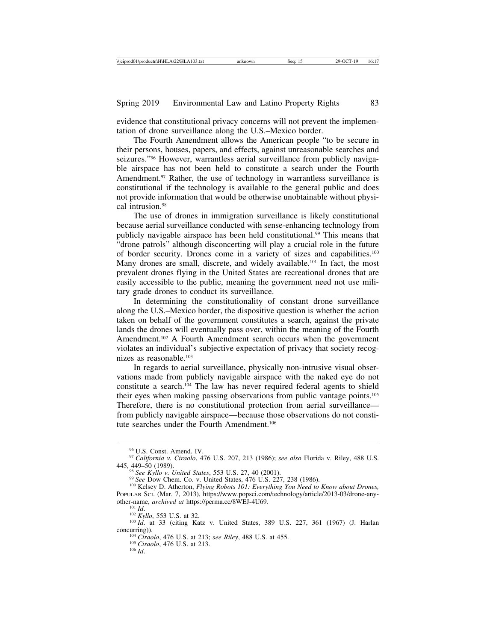evidence that constitutional privacy concerns will not prevent the implementation of drone surveillance along the U.S.–Mexico border.

The Fourth Amendment allows the American people "to be secure in their persons, houses, papers, and effects, against unreasonable searches and seizures."96 However, warrantless aerial surveillance from publicly navigable airspace has not been held to constitute a search under the Fourth Amendment.<sup>97</sup> Rather, the use of technology in warrantless surveillance is constitutional if the technology is available to the general public and does not provide information that would be otherwise unobtainable without physical intrusion.98

The use of drones in immigration surveillance is likely constitutional because aerial surveillance conducted with sense-enhancing technology from publicly navigable airspace has been held constitutional.99 This means that "drone patrols" although disconcerting will play a crucial role in the future of border security. Drones come in a variety of sizes and capabilities.100 Many drones are small, discrete, and widely available.<sup>101</sup> In fact, the most prevalent drones flying in the United States are recreational drones that are easily accessible to the public, meaning the government need not use military grade drones to conduct its surveillance.

In determining the constitutionality of constant drone surveillance along the U.S.–Mexico border, the dispositive question is whether the action taken on behalf of the government constitutes a search, against the private lands the drones will eventually pass over, within the meaning of the Fourth Amendment.<sup>102</sup> A Fourth Amendment search occurs when the government violates an individual's subjective expectation of privacy that society recognizes as reasonable.<sup>103</sup>

In regards to aerial surveillance, physically non-intrusive visual observations made from publicly navigable airspace with the naked eye do not constitute a search.104 The law has never required federal agents to shield their eyes when making passing observations from public vantage points.105 Therefore, there is no constitutional protection from aerial surveillance from publicly navigable airspace—because those observations do not constitute searches under the Fourth Amendment.<sup>106</sup>

<sup>96</sup> U.S. Const. Amend. IV. <sup>97</sup> *California v. Ciraolo*, 476 U.S. 207, 213 (1986); *see also* Florida v. Riley, 488 U.S.

<sup>&</sup>lt;sup>98</sup> See Kyllo v. United States, 553 U.S. 27, 40 (2001).<br><sup>99</sup> See Dow Chem. Co. v. United States, 476 U.S. 227, 238 (1986).<br><sup>100</sup> Kelsey D. Atherton, *Flying Robots 101: Everything You Need to Know about Drones*, POPULAR SCI. (Mar. 7, 2013), https://www.popsci.com/technology/article/2013-03/drone-any-<br>other-name, *archived at* https://perma.cc/8WEJ-4U69.

<sup>&</sup>lt;sup>101</sup> *Id. a*<br><sup>102</sup> *Kyllo*, 553 U.S. at 32. 103 *Id.* at 33 (citing Katz v. United States, 389 U.S. 227, 361 (1967) (J. Harlan

concurring)). <sup>104</sup> *Ciraolo*, 476 U.S. at 213; *see Riley*, 488 U.S. at 455. <sup>105</sup> *Ciraolo*, 476 U.S. at 213. <sup>106</sup> *Id*.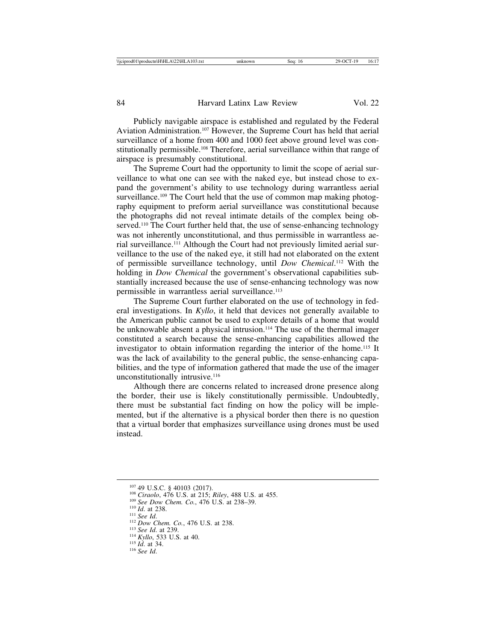Publicly navigable airspace is established and regulated by the Federal Aviation Administration.107 However, the Supreme Court has held that aerial surveillance of a home from 400 and 1000 feet above ground level was constitutionally permissible.108 Therefore, aerial surveillance within that range of airspace is presumably constitutional.

The Supreme Court had the opportunity to limit the scope of aerial surveillance to what one can see with the naked eye, but instead chose to expand the government's ability to use technology during warrantless aerial surveillance.<sup>109</sup> The Court held that the use of common map making photography equipment to preform aerial surveillance was constitutional because the photographs did not reveal intimate details of the complex being observed.<sup>110</sup> The Court further held that, the use of sense-enhancing technology was not inherently unconstitutional, and thus permissible in warrantless aerial surveillance.111 Although the Court had not previously limited aerial surveillance to the use of the naked eye, it still had not elaborated on the extent of permissible surveillance technology, until *Dow Chemical*. 112 With the holding in *Dow Chemical* the government's observational capabilities substantially increased because the use of sense-enhancing technology was now permissible in warrantless aerial surveillance.<sup>113</sup>

The Supreme Court further elaborated on the use of technology in federal investigations. In *Kyllo*, it held that devices not generally available to the American public cannot be used to explore details of a home that would be unknowable absent a physical intrusion.<sup>114</sup> The use of the thermal imager constituted a search because the sense-enhancing capabilities allowed the investigator to obtain information regarding the interior of the home.115 It was the lack of availability to the general public, the sense-enhancing capabilities, and the type of information gathered that made the use of the imager unconstitutionally intrusive.<sup>116</sup>

Although there are concerns related to increased drone presence along the border, their use is likely constitutionally permissible. Undoubtedly, there must be substantial fact finding on how the policy will be implemented, but if the alternative is a physical border then there is no question that a virtual border that emphasizes surveillance using drones must be used instead.

<sup>&</sup>lt;sup>107</sup> 49 U.S.C. § 40103 (2017).<br><sup>108</sup> *Ciraolo*, 476 U.S. at 215; *Riley*, 488 U.S. at 455.<br><sup>109</sup> *See Dow Chem. Co.*, 476 U.S. at 238–39.<br><sup>110</sup> *Id.* at 238.<br><sup>112</sup> *Dow Chem. Co.*, 476 U.S. at 238.<br><sup>112</sup> *Dow Chem. Co.*,